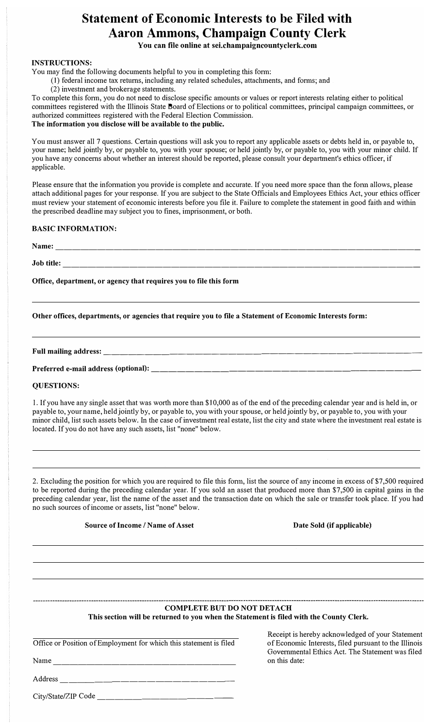# **Statement of Economic Interests to be Filed with Aaron Ammons, Champaign County Clerk**

**You can file online at sei.champaigncountyclerk.com**

### **INSTRUCTIONS:**

You may find the following documents helpful to you in completing this fonn:

- (1) federal income tax returns, including any related schedules, attachments, and fonns; and
	- (2) investment and brokerage statements.

To complete this fonn, you do not need to disclose specific amounts or values or report interests relating either to political committees registered with the Illinois State Board of Elections or to political committees, principal campaign committees, or authorized committees registered with the Federal Election Commission.

## **The information you disclose will be available to the public.**

You must answer all 7 questions. Certain questions will ask you to report any applicable assets or debts held in, or payable to, your name; held jointly by, or payable to, you with your spouse; or held jointly by, or payable to, you with your minor child. If you have any concerns about whether an interest should be reported, please consult your department's ethics officer, if applicable.

Please ensure that the infonnation you provide is complete and accurate. If you need more space than the fonn allows, please attach additional pages for your response. If you are subject to the State Officials and Employees Ethics Act, your ethics officer must review your statement of economic interests before you file it. Failure to complete the statement in good faith and within the prescribed deadline may subject you to fines, imprisonment, or both.

## **BASIC INFORMATION:**

**Name:** --------------------------------------------

**Job title:** -------------------------------------------

**Office, department, or agency that requires you to file this form** 

**Other offices, departments, or agencies that require you to file a Statement of Economic Interests form:** 

**Full mailing address:** 

Preferred e-mail address (optional):

## **QUESTIONS:**

l. If you have any single asset that was worth more than \$10,000 as of the end of the preceding calendar year and is held in, or payable to, your name, held jointly by, or payable to, you with your spouse, or held jointly by, or payable to, you with your minor child, list such assets below. In the case of investment real estate, list the city and state where the investment real estate is located. If you do not have any such assets, list "none" below.

2. Excluding the position for which you are required to file this fonn, list the source of any income in excess of \$7,500 required to be reported during the preceding calendar year. If you sold an asset that produced more than \$7,500 in capital gains in the preceding calendar year, list the name of the asset and the transaction date on which the sale or transfer took place. If you had no such sources of income or assets, list "none" below.

**Som·ce of Income/ Name of Asset Date Sold (if applicable)** 

### **COMPLETE BUT DO NOT DETACH This section will be returned to you when the Statement is filed with the County Clerk.**

Office or Position of Employment for which this statement is filed

Name \_\_\_\_\_\_\_\_\_\_\_\_\_\_\_\_\_\_\_\_\_ \_

Receipt is hereby acknowledged of your Statement of Economic Interests, filed pursuant to the Illinois Governmental Ethics Act. The Statement was filed on this date:

Address \_\_\_\_\_\_\_\_\_\_\_\_\_\_\_\_\_\_\_ \_

City/State/ZIP Code